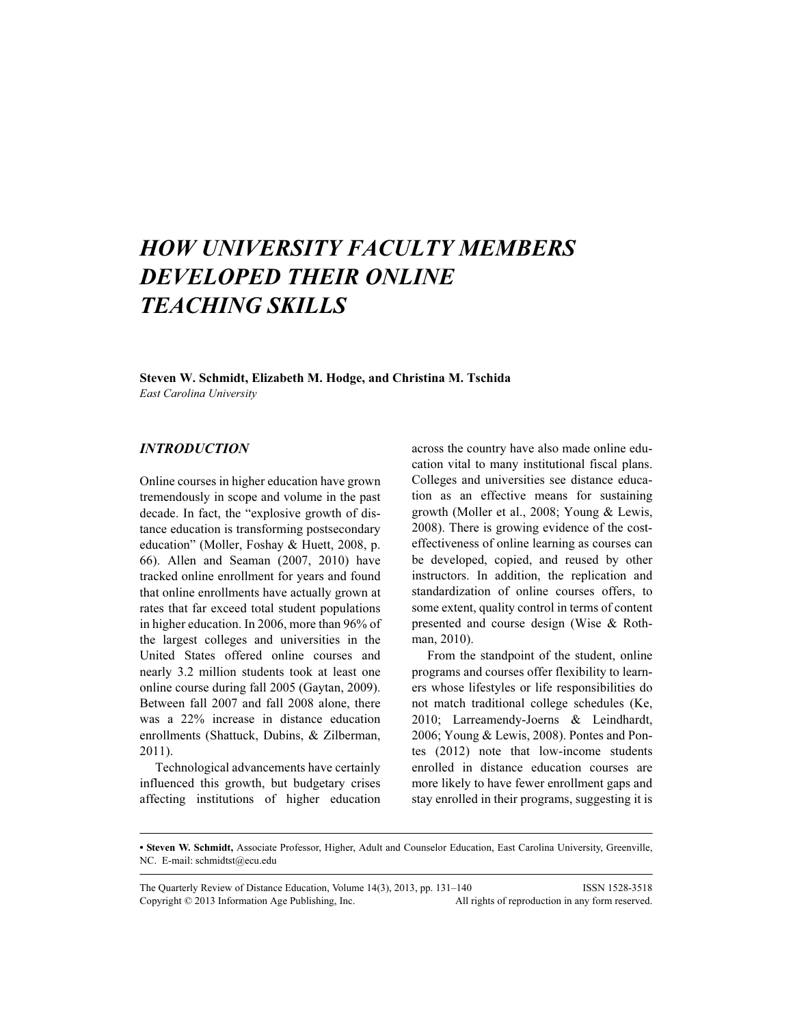# HOW UNIVERSITY FACULTY MEMBERS DEVELOPED THEIR ONLINE TEACHING SKILLS

## Steven W. Schmidt, Elizabeth M. Hodge, and Christina M. Tschida

East Carolina University

## INTRODUCTION

Online courses in higher education have grown tremendously in scope and volume in the past decade. In fact, the "explosive growth of distance education is transforming postsecondary education" (Moller, Foshay & Huett, 2008, p. 66). Allen and Seaman (2007, 2010) have tracked online enrollment for years and found that online enrollments have actually grown at rates that far exceed total student populations in higher education. In 2006, more than 96% of the largest colleges and universities in the United States offered online courses and nearly 3.2 million students took at least one online course during fall 2005 (Gaytan, 2009). Between fall 2007 and fall 2008 alone, there was a 22% increase in distance education enrollments (Shattuck, Dubins, & Zilberman, 2011).

Technological advancements have certainly influenced this growth, but budgetary crises affecting institutions of higher education

across the country have also made online education vital to many institutional fiscal plans. Colleges and universities see distance education as an effective means for sustaining growth (Moller et al., 2008; Young & Lewis, 2008). There is growing evidence of the costeffectiveness of online learning as courses can be developed, copied, and reused by other instructors. In addition, the replication and standardization of online courses offers, to some extent, quality control in terms of content presented and course design (Wise & Rothman, 2010).

From the standpoint of the student, online programs and courses offer flexibility to learners whose lifestyles or life responsibilities do not match traditional college schedules (Ke, 2010; Larreamendy-Joerns & Leindhardt, 2006; Young & Lewis, 2008). Pontes and Pontes (2012) note that low-income students enrolled in distance education courses are more likely to have fewer enrollment gaps and stay enrolled in their programs, suggesting it is

• Steven W. Schmidt, Associate Professor, Higher, Adult and Counselor Education, East Carolina University, Greenville, NC. E-mail: schmidtst@ecu.edu

The Quarterly Review of Distance Education, Volume 14(3), 2013, pp. 131-140 ISSN 1528-3518 Copyright © 2013 Information Age Publishing, Inc. All rights of reproduction in any form reserved.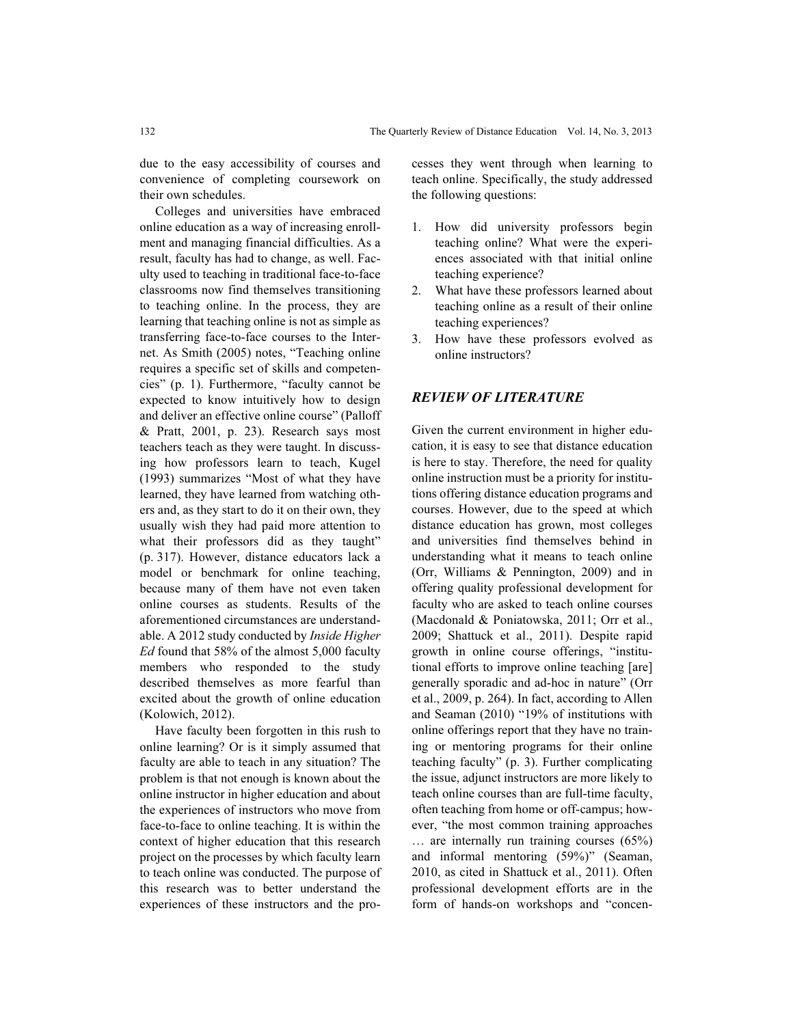due to the easy accessibility of courses and convenience of completing coursework on their own schedules.

Colleges and universities have embraced online education as a way of increasing enrollment and managing financial difficulties. As a result, faculty has had to change, as well. Faculty used to teaching in traditional face-to-face classrooms now find themselves transitioning to teaching online. In the process, they are learning that teaching online is not as simple as transferring face-to-face courses to the Internet. As Smith (2005) notes, "Teaching online requires a specific set of skills and competencies" (p. 1). Furthermore, "faculty cannot be expected to know intuitively how to design and deliver an effective online course" (Palloff & Pratt, 2001, p. 23). Research says most teachers teach as they were taught. In discussing how professors learn to teach, Kugel (1993) summarizes "Most of what they have learned, they have learned from watching others and, as they start to do it on their own, they usually wish they had paid more attention to what their professors did as they taught" (p. 317). However, distance educators lack a model or benchmark for online teaching, because many of them have not even taken online courses as students. Results of the aforementioned circumstances are understandable. A 2012 study conducted by Inside Higher Ed found that 58% of the almost 5,000 faculty members who responded to the study described themselves as more fearful than excited about the growth of online education (Kolowich, 2012).

Have faculty been forgotten in this rush to online learning? Or is it simply assumed that faculty are able to teach in any situation? The problem is that not enough is known about the online instructor in higher education and about the experiences of instructors who move from face-to-face to online teaching. It is within the context of higher education that this research project on the processes by which faculty learn to teach online was conducted. The purpose of this research was to better understand the experiences of these instructors and the pro-

cesses they went through when learning to teach online. Specifically, the study addressed the following questions:

- 1. How did university professors begin teaching online? What were the experiences associated with that initial online teaching experience?
- 2. What have these professors learned about teaching online as a result of their online teaching experiences?
- 3. How have these professors evolved as online instructors?

## REVIEW OF LITERATURE

Given the current environment in higher education, it is easy to see that distance education is here to stay. Therefore, the need for quality online instruction must be a priority for institutions offering distance education programs and courses. However, due to the speed at which distance education has grown, most colleges and universities find themselves behind in understanding what it means to teach online (Orr, Williams & Pennington, 2009) and in offering quality professional development for faculty who are asked to teach online courses (Macdonald & Poniatowska, 2011; Orr et al., 2009; Shattuck et al., 2011). Despite rapid growth in online course offerings, "institutional efforts to improve online teaching [are] generally sporadic and ad-hoc in nature" (Orr et al., 2009, p. 264). In fact, according to Allen and Seaman (2010) "19% of institutions with online offerings report that they have no training or mentoring programs for their online teaching faculty" (p. 3). Further complicating the issue, adjunct instructors are more likely to teach online courses than are full-time faculty, often teaching from home or off-campus; however, "the most common training approaches … are internally run training courses (65%) and informal mentoring (59%)" (Seaman, 2010, as cited in Shattuck et al., 2011). Often professional development efforts are in the form of hands-on workshops and "concen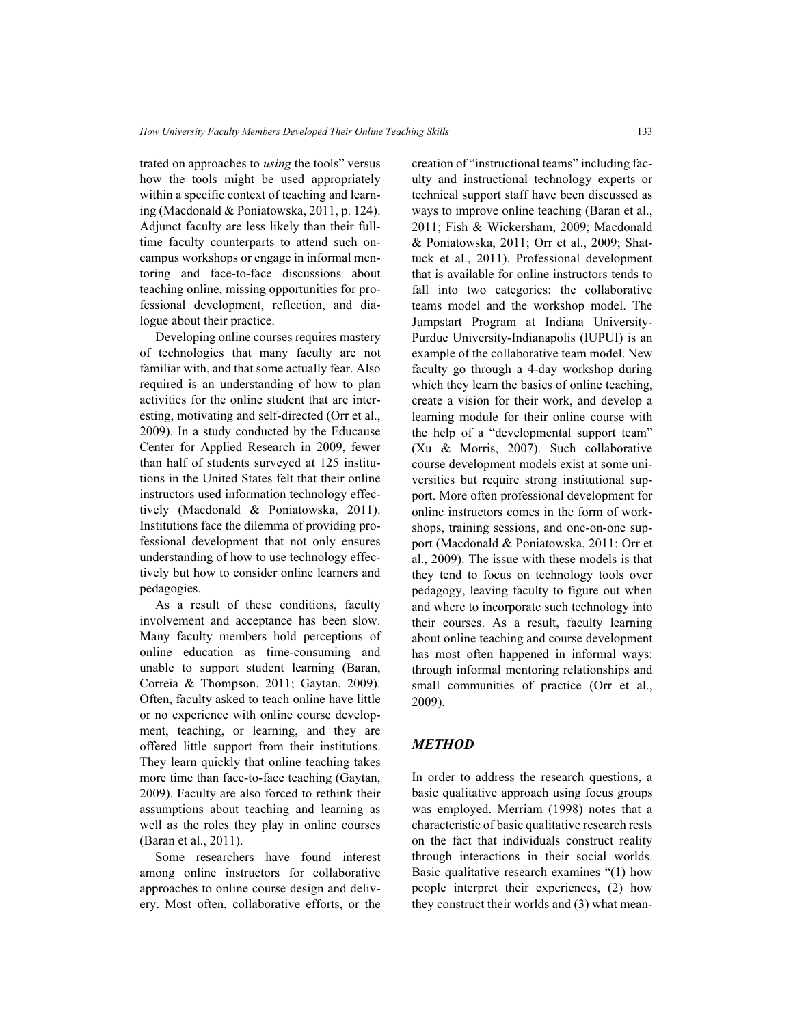trated on approaches to using the tools" versus how the tools might be used appropriately within a specific context of teaching and learning (Macdonald & Poniatowska, 2011, p. 124). Adjunct faculty are less likely than their fulltime faculty counterparts to attend such oncampus workshops or engage in informal mentoring and face-to-face discussions about teaching online, missing opportunities for professional development, reflection, and dialogue about their practice.

Developing online courses requires mastery of technologies that many faculty are not familiar with, and that some actually fear. Also required is an understanding of how to plan activities for the online student that are interesting, motivating and self-directed (Orr et al., 2009). In a study conducted by the Educause Center for Applied Research in 2009, fewer than half of students surveyed at 125 institutions in the United States felt that their online instructors used information technology effectively (Macdonald & Poniatowska, 2011). Institutions face the dilemma of providing professional development that not only ensures understanding of how to use technology effectively but how to consider online learners and pedagogies.

As a result of these conditions, faculty involvement and acceptance has been slow. Many faculty members hold perceptions of online education as time-consuming and unable to support student learning (Baran, Correia & Thompson, 2011; Gaytan, 2009). Often, faculty asked to teach online have little or no experience with online course development, teaching, or learning, and they are offered little support from their institutions. They learn quickly that online teaching takes more time than face-to-face teaching (Gaytan, 2009). Faculty are also forced to rethink their assumptions about teaching and learning as well as the roles they play in online courses (Baran et al., 2011).

Some researchers have found interest among online instructors for collaborative approaches to online course design and delivery. Most often, collaborative efforts, or the creation of "instructional teams" including faculty and instructional technology experts or technical support staff have been discussed as ways to improve online teaching (Baran et al., 2011; Fish & Wickersham, 2009; Macdonald & Poniatowska, 2011; Orr et al., 2009; Shattuck et al., 2011). Professional development that is available for online instructors tends to fall into two categories: the collaborative teams model and the workshop model. The Jumpstart Program at Indiana University-Purdue University-Indianapolis (IUPUI) is an example of the collaborative team model. New faculty go through a 4-day workshop during which they learn the basics of online teaching, create a vision for their work, and develop a learning module for their online course with the help of a "developmental support team" (Xu & Morris, 2007). Such collaborative course development models exist at some universities but require strong institutional support. More often professional development for online instructors comes in the form of workshops, training sessions, and one-on-one support (Macdonald & Poniatowska, 2011; Orr et al., 2009). The issue with these models is that they tend to focus on technology tools over pedagogy, leaving faculty to figure out when and where to incorporate such technology into their courses. As a result, faculty learning about online teaching and course development has most often happened in informal ways: through informal mentoring relationships and small communities of practice (Orr et al., 2009).

#### METHOD

In order to address the research questions, a basic qualitative approach using focus groups was employed. Merriam (1998) notes that a characteristic of basic qualitative research rests on the fact that individuals construct reality through interactions in their social worlds. Basic qualitative research examines "(1) how people interpret their experiences, (2) how they construct their worlds and (3) what mean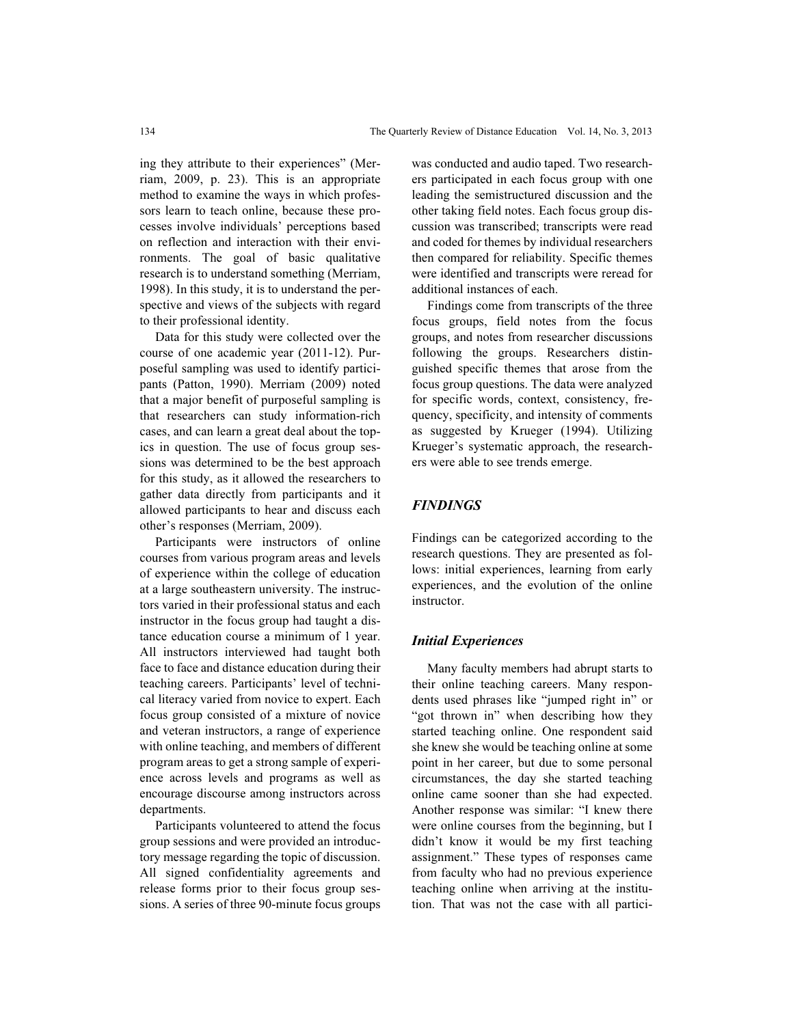ing they attribute to their experiences" (Merriam, 2009, p. 23). This is an appropriate method to examine the ways in which professors learn to teach online, because these processes involve individuals' perceptions based on reflection and interaction with their environments. The goal of basic qualitative research is to understand something (Merriam, 1998). In this study, it is to understand the perspective and views of the subjects with regard to their professional identity.

Data for this study were collected over the course of one academic year (2011-12). Purposeful sampling was used to identify participants (Patton, 1990). Merriam (2009) noted that a major benefit of purposeful sampling is that researchers can study information-rich cases, and can learn a great deal about the topics in question. The use of focus group sessions was determined to be the best approach for this study, as it allowed the researchers to gather data directly from participants and it allowed participants to hear and discuss each other's responses (Merriam, 2009).

Participants were instructors of online courses from various program areas and levels of experience within the college of education at a large southeastern university. The instructors varied in their professional status and each instructor in the focus group had taught a distance education course a minimum of 1 year. All instructors interviewed had taught both face to face and distance education during their teaching careers. Participants' level of technical literacy varied from novice to expert. Each focus group consisted of a mixture of novice and veteran instructors, a range of experience with online teaching, and members of different program areas to get a strong sample of experience across levels and programs as well as encourage discourse among instructors across departments.

Participants volunteered to attend the focus group sessions and were provided an introductory message regarding the topic of discussion. All signed confidentiality agreements and release forms prior to their focus group sessions. A series of three 90-minute focus groups

was conducted and audio taped. Two researchers participated in each focus group with one leading the semistructured discussion and the other taking field notes. Each focus group discussion was transcribed; transcripts were read and coded for themes by individual researchers then compared for reliability. Specific themes were identified and transcripts were reread for additional instances of each.

Findings come from transcripts of the three focus groups, field notes from the focus groups, and notes from researcher discussions following the groups. Researchers distinguished specific themes that arose from the focus group questions. The data were analyzed for specific words, context, consistency, frequency, specificity, and intensity of comments as suggested by Krueger (1994). Utilizing Krueger's systematic approach, the researchers were able to see trends emerge.

## **FINDINGS**

Findings can be categorized according to the research questions. They are presented as follows: initial experiences, learning from early experiences, and the evolution of the online instructor.

#### Initial Experiences

Many faculty members had abrupt starts to their online teaching careers. Many respondents used phrases like "jumped right in" or "got thrown in" when describing how they started teaching online. One respondent said she knew she would be teaching online at some point in her career, but due to some personal circumstances, the day she started teaching online came sooner than she had expected. Another response was similar: "I knew there were online courses from the beginning, but I didn't know it would be my first teaching assignment." These types of responses came from faculty who had no previous experience teaching online when arriving at the institution. That was not the case with all partici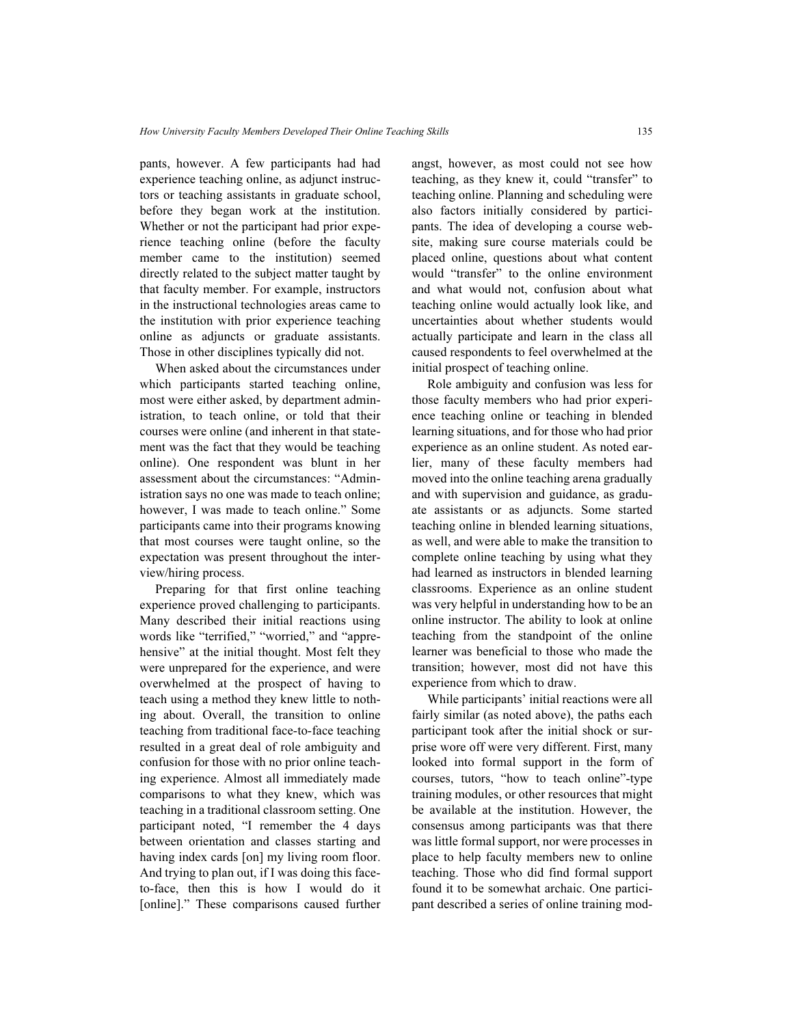pants, however. A few participants had had experience teaching online, as adjunct instructors or teaching assistants in graduate school, before they began work at the institution. Whether or not the participant had prior experience teaching online (before the faculty member came to the institution) seemed directly related to the subject matter taught by that faculty member. For example, instructors in the instructional technologies areas came to the institution with prior experience teaching online as adjuncts or graduate assistants. Those in other disciplines typically did not.

When asked about the circumstances under which participants started teaching online, most were either asked, by department administration, to teach online, or told that their courses were online (and inherent in that statement was the fact that they would be teaching online). One respondent was blunt in her assessment about the circumstances: "Administration says no one was made to teach online; however, I was made to teach online." Some participants came into their programs knowing that most courses were taught online, so the expectation was present throughout the interview/hiring process.

Preparing for that first online teaching experience proved challenging to participants. Many described their initial reactions using words like "terrified," "worried," and "apprehensive" at the initial thought. Most felt they were unprepared for the experience, and were overwhelmed at the prospect of having to teach using a method they knew little to nothing about. Overall, the transition to online teaching from traditional face-to-face teaching resulted in a great deal of role ambiguity and confusion for those with no prior online teaching experience. Almost all immediately made comparisons to what they knew, which was teaching in a traditional classroom setting. One participant noted, "I remember the 4 days between orientation and classes starting and having index cards [on] my living room floor. And trying to plan out, if I was doing this faceto-face, then this is how I would do it [online]." These comparisons caused further

angst, however, as most could not see how teaching, as they knew it, could "transfer" to teaching online. Planning and scheduling were also factors initially considered by participants. The idea of developing a course website, making sure course materials could be placed online, questions about what content would "transfer" to the online environment and what would not, confusion about what teaching online would actually look like, and uncertainties about whether students would actually participate and learn in the class all caused respondents to feel overwhelmed at the initial prospect of teaching online.

Role ambiguity and confusion was less for those faculty members who had prior experience teaching online or teaching in blended learning situations, and for those who had prior experience as an online student. As noted earlier, many of these faculty members had moved into the online teaching arena gradually and with supervision and guidance, as graduate assistants or as adjuncts. Some started teaching online in blended learning situations, as well, and were able to make the transition to complete online teaching by using what they had learned as instructors in blended learning classrooms. Experience as an online student was very helpful in understanding how to be an online instructor. The ability to look at online teaching from the standpoint of the online learner was beneficial to those who made the transition; however, most did not have this experience from which to draw.

While participants' initial reactions were all fairly similar (as noted above), the paths each participant took after the initial shock or surprise wore off were very different. First, many looked into formal support in the form of courses, tutors, "how to teach online"-type training modules, or other resources that might be available at the institution. However, the consensus among participants was that there was little formal support, nor were processes in place to help faculty members new to online teaching. Those who did find formal support found it to be somewhat archaic. One participant described a series of online training mod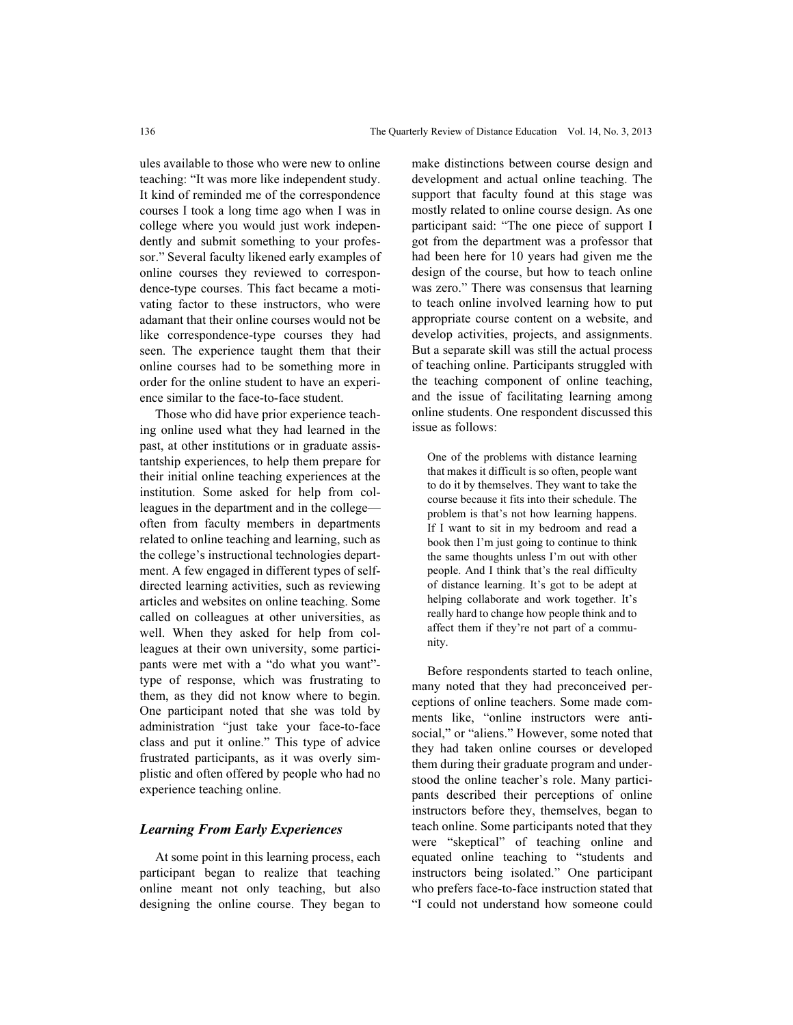ules available to those who were new to online teaching: "It was more like independent study. It kind of reminded me of the correspondence courses I took a long time ago when I was in college where you would just work independently and submit something to your professor." Several faculty likened early examples of online courses they reviewed to correspondence-type courses. This fact became a motivating factor to these instructors, who were adamant that their online courses would not be like correspondence-type courses they had seen. The experience taught them that their online courses had to be something more in order for the online student to have an experience similar to the face-to-face student.

Those who did have prior experience teaching online used what they had learned in the past, at other institutions or in graduate assistantship experiences, to help them prepare for their initial online teaching experiences at the institution. Some asked for help from colleagues in the department and in the college often from faculty members in departments related to online teaching and learning, such as the college's instructional technologies department. A few engaged in different types of selfdirected learning activities, such as reviewing articles and websites on online teaching. Some called on colleagues at other universities, as well. When they asked for help from colleagues at their own university, some participants were met with a "do what you want" type of response, which was frustrating to them, as they did not know where to begin. One participant noted that she was told by administration "just take your face-to-face class and put it online." This type of advice frustrated participants, as it was overly simplistic and often offered by people who had no experience teaching online.

#### Learning From Early Experiences

At some point in this learning process, each participant began to realize that teaching online meant not only teaching, but also designing the online course. They began to make distinctions between course design and development and actual online teaching. The support that faculty found at this stage was mostly related to online course design. As one participant said: "The one piece of support I got from the department was a professor that had been here for 10 years had given me the design of the course, but how to teach online was zero." There was consensus that learning to teach online involved learning how to put appropriate course content on a website, and develop activities, projects, and assignments. But a separate skill was still the actual process of teaching online. Participants struggled with the teaching component of online teaching, and the issue of facilitating learning among online students. One respondent discussed this issue as follows:

One of the problems with distance learning that makes it difficult is so often, people want to do it by themselves. They want to take the course because it fits into their schedule. The problem is that's not how learning happens. If I want to sit in my bedroom and read a book then I'm just going to continue to think the same thoughts unless I'm out with other people. And I think that's the real difficulty of distance learning. It's got to be adept at helping collaborate and work together. It's really hard to change how people think and to affect them if they're not part of a community.

Before respondents started to teach online, many noted that they had preconceived perceptions of online teachers. Some made comments like, "online instructors were antisocial," or "aliens." However, some noted that they had taken online courses or developed them during their graduate program and understood the online teacher's role. Many participants described their perceptions of online instructors before they, themselves, began to teach online. Some participants noted that they were "skeptical" of teaching online and equated online teaching to "students and instructors being isolated." One participant who prefers face-to-face instruction stated that "I could not understand how someone could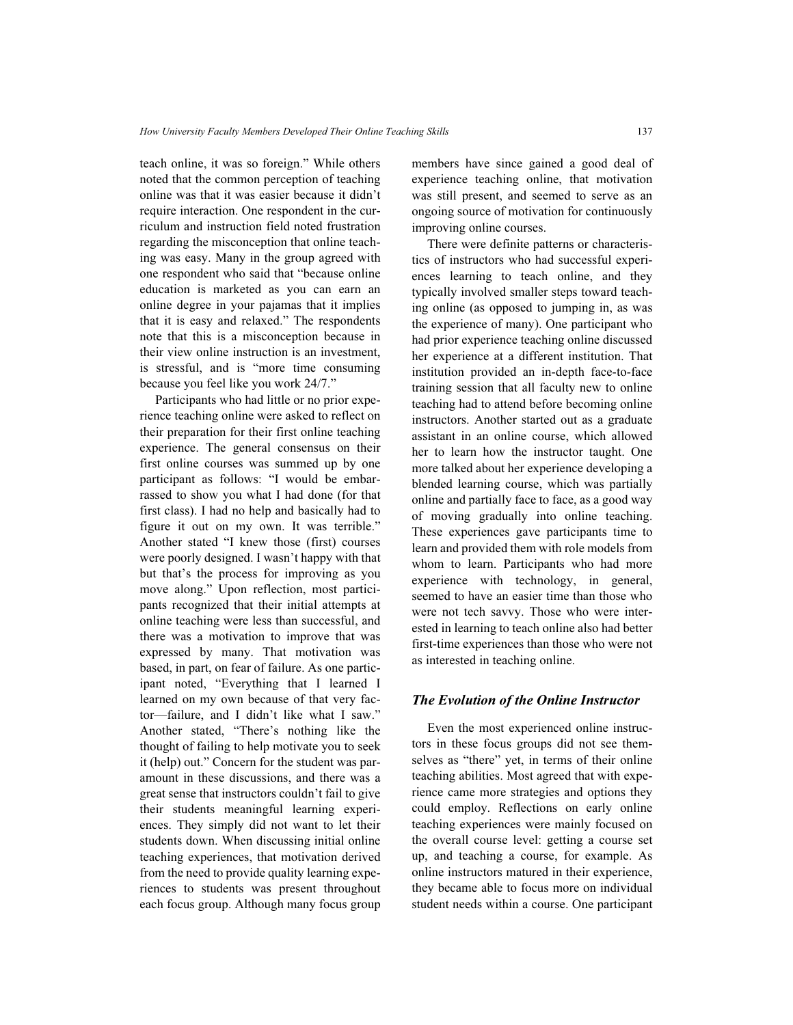teach online, it was so foreign." While others noted that the common perception of teaching online was that it was easier because it didn't require interaction. One respondent in the curriculum and instruction field noted frustration regarding the misconception that online teaching was easy. Many in the group agreed with one respondent who said that "because online education is marketed as you can earn an online degree in your pajamas that it implies that it is easy and relaxed." The respondents note that this is a misconception because in their view online instruction is an investment, is stressful, and is "more time consuming because you feel like you work 24/7."

Participants who had little or no prior experience teaching online were asked to reflect on their preparation for their first online teaching experience. The general consensus on their first online courses was summed up by one participant as follows: "I would be embarrassed to show you what I had done (for that first class). I had no help and basically had to figure it out on my own. It was terrible." Another stated "I knew those (first) courses were poorly designed. I wasn't happy with that but that's the process for improving as you move along." Upon reflection, most participants recognized that their initial attempts at online teaching were less than successful, and there was a motivation to improve that was expressed by many. That motivation was based, in part, on fear of failure. As one participant noted, "Everything that I learned I learned on my own because of that very factor—failure, and I didn't like what I saw." Another stated, "There's nothing like the thought of failing to help motivate you to seek it (help) out." Concern for the student was paramount in these discussions, and there was a great sense that instructors couldn't fail to give their students meaningful learning experiences. They simply did not want to let their students down. When discussing initial online teaching experiences, that motivation derived from the need to provide quality learning experiences to students was present throughout each focus group. Although many focus group members have since gained a good deal of experience teaching online, that motivation was still present, and seemed to serve as an ongoing source of motivation for continuously improving online courses.

There were definite patterns or characteristics of instructors who had successful experiences learning to teach online, and they typically involved smaller steps toward teaching online (as opposed to jumping in, as was the experience of many). One participant who had prior experience teaching online discussed her experience at a different institution. That institution provided an in-depth face-to-face training session that all faculty new to online teaching had to attend before becoming online instructors. Another started out as a graduate assistant in an online course, which allowed her to learn how the instructor taught. One more talked about her experience developing a blended learning course, which was partially online and partially face to face, as a good way of moving gradually into online teaching. These experiences gave participants time to learn and provided them with role models from whom to learn. Participants who had more experience with technology, in general, seemed to have an easier time than those who were not tech savvy. Those who were interested in learning to teach online also had better first-time experiences than those who were not as interested in teaching online.

#### The Evolution of the Online Instructor

Even the most experienced online instructors in these focus groups did not see themselves as "there" yet, in terms of their online teaching abilities. Most agreed that with experience came more strategies and options they could employ. Reflections on early online teaching experiences were mainly focused on the overall course level: getting a course set up, and teaching a course, for example. As online instructors matured in their experience, they became able to focus more on individual student needs within a course. One participant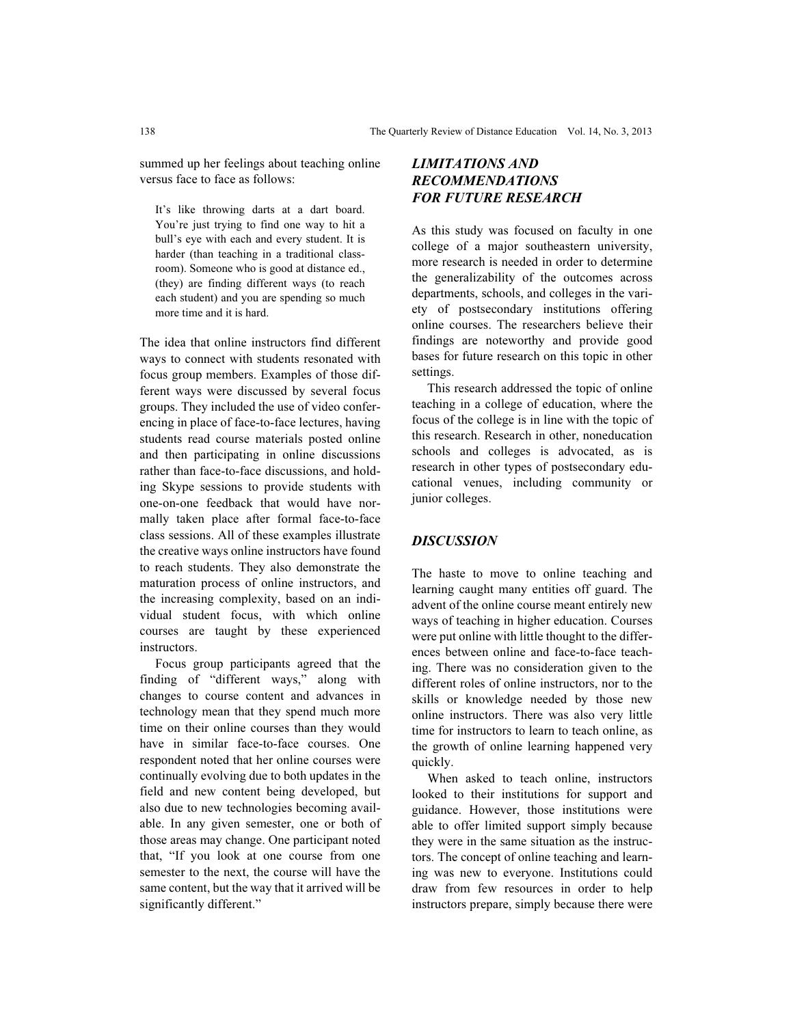summed up her feelings about teaching online versus face to face as follows:

It's like throwing darts at a dart board. You're just trying to find one way to hit a bull's eye with each and every student. It is harder (than teaching in a traditional classroom). Someone who is good at distance ed., (they) are finding different ways (to reach each student) and you are spending so much more time and it is hard.

The idea that online instructors find different ways to connect with students resonated with focus group members. Examples of those different ways were discussed by several focus groups. They included the use of video conferencing in place of face-to-face lectures, having students read course materials posted online and then participating in online discussions rather than face-to-face discussions, and holding Skype sessions to provide students with one-on-one feedback that would have normally taken place after formal face-to-face class sessions. All of these examples illustrate the creative ways online instructors have found to reach students. They also demonstrate the maturation process of online instructors, and the increasing complexity, based on an individual student focus, with which online courses are taught by these experienced instructors.

Focus group participants agreed that the finding of "different ways," along with changes to course content and advances in technology mean that they spend much more time on their online courses than they would have in similar face-to-face courses. One respondent noted that her online courses were continually evolving due to both updates in the field and new content being developed, but also due to new technologies becoming available. In any given semester, one or both of those areas may change. One participant noted that, "If you look at one course from one semester to the next, the course will have the same content, but the way that it arrived will be significantly different."

## LIMITATIONS AND RECOMMENDATIONS FOR FUTURE RESEARCH

As this study was focused on faculty in one college of a major southeastern university, more research is needed in order to determine the generalizability of the outcomes across departments, schools, and colleges in the variety of postsecondary institutions offering online courses. The researchers believe their findings are noteworthy and provide good bases for future research on this topic in other settings.

This research addressed the topic of online teaching in a college of education, where the focus of the college is in line with the topic of this research. Research in other, noneducation schools and colleges is advocated, as is research in other types of postsecondary educational venues, including community or junior colleges.

## **DISCUSSION**

The haste to move to online teaching and learning caught many entities off guard. The advent of the online course meant entirely new ways of teaching in higher education. Courses were put online with little thought to the differences between online and face-to-face teaching. There was no consideration given to the different roles of online instructors, nor to the skills or knowledge needed by those new online instructors. There was also very little time for instructors to learn to teach online, as the growth of online learning happened very quickly.

When asked to teach online, instructors looked to their institutions for support and guidance. However, those institutions were able to offer limited support simply because they were in the same situation as the instructors. The concept of online teaching and learning was new to everyone. Institutions could draw from few resources in order to help instructors prepare, simply because there were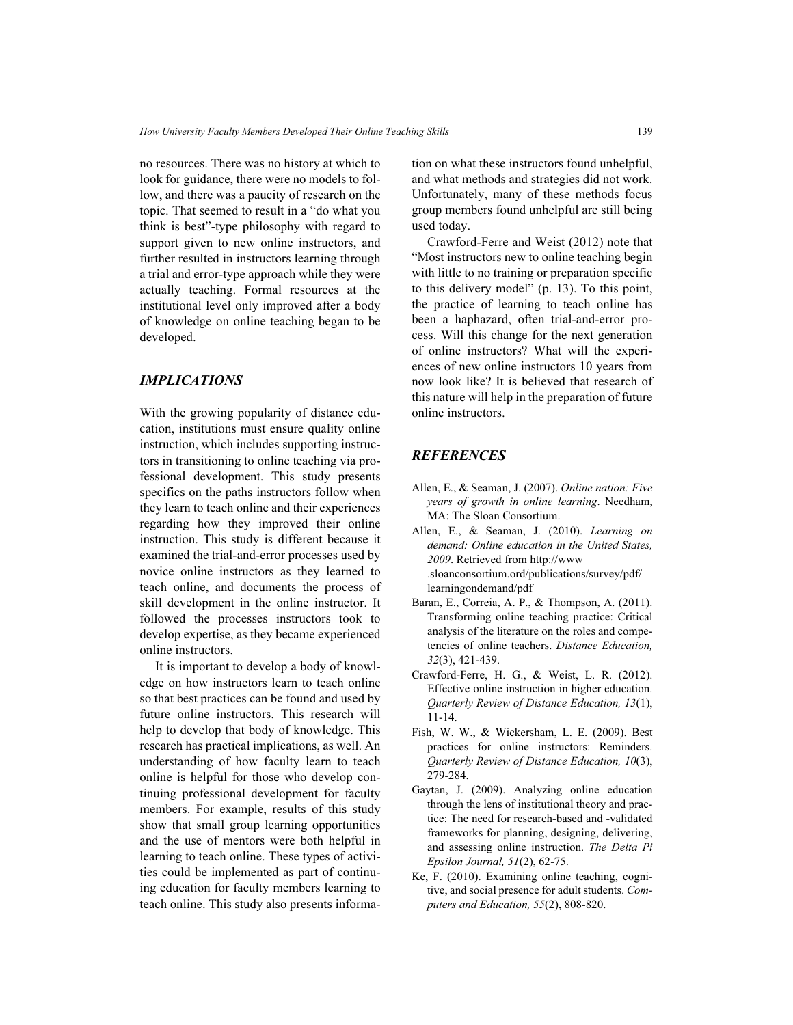no resources. There was no history at which to look for guidance, there were no models to follow, and there was a paucity of research on the topic. That seemed to result in a "do what you think is best"-type philosophy with regard to support given to new online instructors, and further resulted in instructors learning through a trial and error-type approach while they were actually teaching. Formal resources at the institutional level only improved after a body of knowledge on online teaching began to be developed.

## IMPLICATIONS

With the growing popularity of distance education, institutions must ensure quality online instruction, which includes supporting instructors in transitioning to online teaching via professional development. This study presents specifics on the paths instructors follow when they learn to teach online and their experiences regarding how they improved their online instruction. This study is different because it examined the trial-and-error processes used by novice online instructors as they learned to teach online, and documents the process of skill development in the online instructor. It followed the processes instructors took to develop expertise, as they became experienced online instructors.

It is important to develop a body of knowledge on how instructors learn to teach online so that best practices can be found and used by future online instructors. This research will help to develop that body of knowledge. This research has practical implications, as well. An understanding of how faculty learn to teach online is helpful for those who develop continuing professional development for faculty members. For example, results of this study show that small group learning opportunities and the use of mentors were both helpful in learning to teach online. These types of activities could be implemented as part of continuing education for faculty members learning to teach online. This study also presents information on what these instructors found unhelpful, and what methods and strategies did not work. Unfortunately, many of these methods focus group members found unhelpful are still being used today.

Crawford-Ferre and Weist (2012) note that "Most instructors new to online teaching begin with little to no training or preparation specific to this delivery model" (p. 13). To this point, the practice of learning to teach online has been a haphazard, often trial-and-error process. Will this change for the next generation of online instructors? What will the experiences of new online instructors 10 years from now look like? It is believed that research of this nature will help in the preparation of future online instructors.

## **REFERENCES**

- Allen, E., & Seaman, J. (2007). Online nation: Five years of growth in online learning. Needham, MA: The Sloan Consortium.
- Allen, E., & Seaman, J. (2010). Learning on demand: Online education in the United States, 2009. Retrieved from http://www .sloanconsortium.ord/publications/survey/pdf/ learningondemand/pdf
- Baran, E., Correia, A. P., & Thompson, A. (2011). Transforming online teaching practice: Critical analysis of the literature on the roles and competencies of online teachers. Distance Education, 32(3), 421-439.
- Crawford-Ferre, H. G., & Weist, L. R. (2012). Effective online instruction in higher education. Quarterly Review of Distance Education, 13(1), 11-14.
- Fish, W. W., & Wickersham, L. E. (2009). Best practices for online instructors: Reminders. Quarterly Review of Distance Education, 10(3), 279-284.
- Gaytan, J. (2009). Analyzing online education through the lens of institutional theory and practice: The need for research-based and -validated frameworks for planning, designing, delivering, and assessing online instruction. The Delta Pi Epsilon Journal, 51(2), 62-75.
- Ke, F. (2010). Examining online teaching, cognitive, and social presence for adult students. Computers and Education, 55(2), 808-820.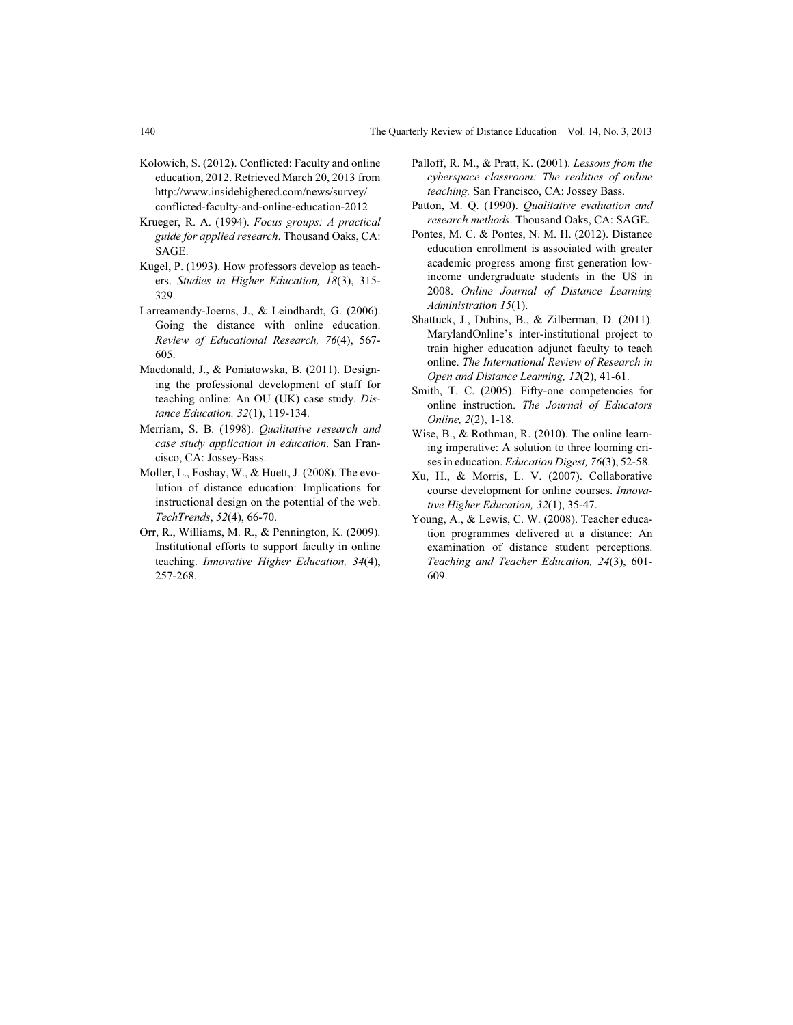- Kolowich, S. (2012). Conflicted: Faculty and online education, 2012. Retrieved March 20, 2013 from http://www.insidehighered.com/news/survey/ conflicted-faculty-and-online-education-2012
- Krueger, R. A. (1994). Focus groups: A practical guide for applied research. Thousand Oaks, CA: SAGE.
- Kugel, P. (1993). How professors develop as teachers. Studies in Higher Education, 18(3), 315- 329.
- Larreamendy-Joerns, J., & Leindhardt, G. (2006). Going the distance with online education. Review of Educational Research, 76(4), 567- 605.
- Macdonald, J., & Poniatowska, B. (2011). Designing the professional development of staff for teaching online: An OU (UK) case study. Distance Education, 32(1), 119-134.
- Merriam, S. B. (1998). Qualitative research and case study application in education. San Francisco, CA: Jossey-Bass.
- Moller, L., Foshay, W., & Huett, J. (2008). The evolution of distance education: Implications for instructional design on the potential of the web. TechTrends, 52(4), 66-70.
- Orr, R., Williams, M. R., & Pennington, K. (2009). Institutional efforts to support faculty in online teaching. Innovative Higher Education, 34(4), 257-268.
- Palloff, R. M., & Pratt, K. (2001). Lessons from the cyberspace classroom: The realities of online teaching. San Francisco, CA: Jossey Bass.
- Patton, M. Q. (1990). Qualitative evaluation and research methods. Thousand Oaks, CA: SAGE.
- Pontes, M. C. & Pontes, N. M. H. (2012). Distance education enrollment is associated with greater academic progress among first generation lowincome undergraduate students in the US in 2008. Online Journal of Distance Learning Administration 15(1).
- Shattuck, J., Dubins, B., & Zilberman, D. (2011). MarylandOnline's inter-institutional project to train higher education adjunct faculty to teach online. The International Review of Research in Open and Distance Learning, 12(2), 41-61.
- Smith, T. C. (2005). Fifty-one competencies for online instruction. The Journal of Educators Online, 2(2), 1-18.
- Wise, B., & Rothman, R. (2010). The online learning imperative: A solution to three looming crises in education. Education Digest, 76(3), 52-58.
- Xu, H., & Morris, L. V. (2007). Collaborative course development for online courses. Innovative Higher Education, 32(1), 35-47.
- Young, A., & Lewis, C. W. (2008). Teacher education programmes delivered at a distance: An examination of distance student perceptions. Teaching and Teacher Education, 24(3), 601- 609.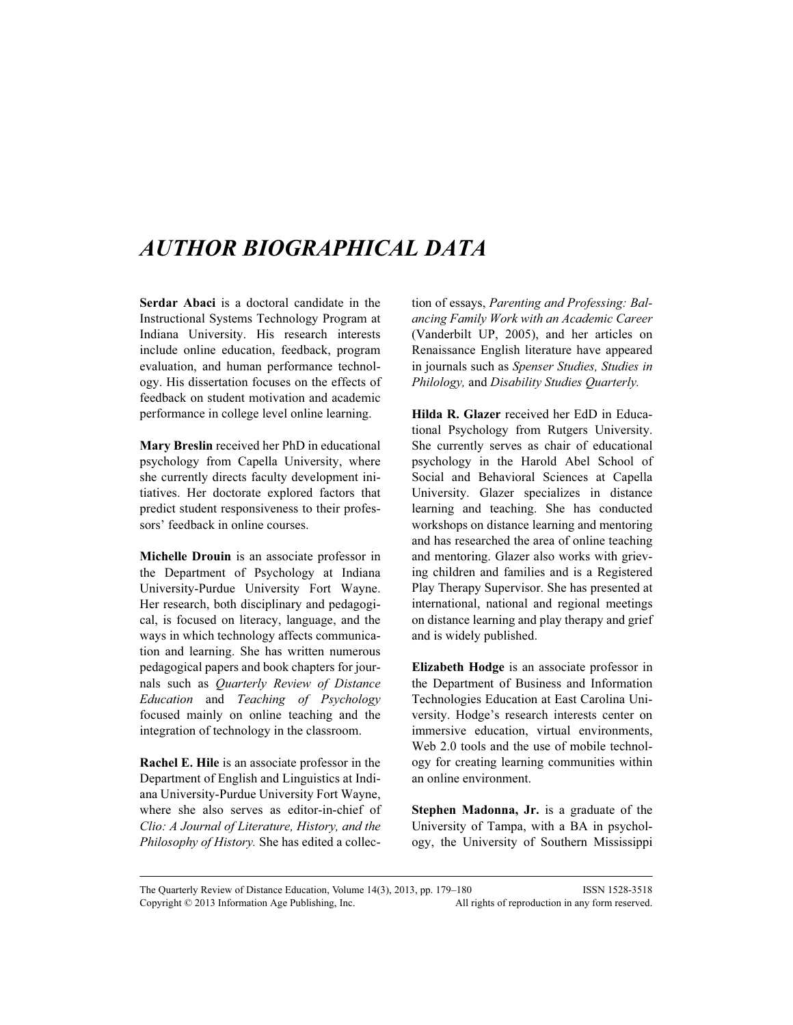## AUTHOR BIOGRAPHICAL DATA

Serdar Abaci is a doctoral candidate in the Instructional Systems Technology Program at Indiana University. His research interests include online education, feedback, program evaluation, and human performance technology. His dissertation focuses on the effects of feedback on student motivation and academic performance in college level online learning.

Mary Breslin received her PhD in educational psychology from Capella University, where she currently directs faculty development initiatives. Her doctorate explored factors that predict student responsiveness to their professors' feedback in online courses.

Michelle Drouin is an associate professor in the Department of Psychology at Indiana University-Purdue University Fort Wayne. Her research, both disciplinary and pedagogical, is focused on literacy, language, and the ways in which technology affects communication and learning. She has written numerous pedagogical papers and book chapters for journals such as Quarterly Review of Distance Education and Teaching of Psychology focused mainly on online teaching and the integration of technology in the classroom.

Rachel E. Hile is an associate professor in the Department of English and Linguistics at Indiana University-Purdue University Fort Wayne, where she also serves as editor-in-chief of Clio: A Journal of Literature, History, and the Philosophy of History. She has edited a collection of essays, Parenting and Professing: Balancing Family Work with an Academic Career (Vanderbilt UP, 2005), and her articles on Renaissance English literature have appeared in journals such as Spenser Studies, Studies in Philology, and Disability Studies Quarterly.

Hilda R. Glazer received her EdD in Educational Psychology from Rutgers University. She currently serves as chair of educational psychology in the Harold Abel School of Social and Behavioral Sciences at Capella University. Glazer specializes in distance learning and teaching. She has conducted workshops on distance learning and mentoring and has researched the area of online teaching and mentoring. Glazer also works with grieving children and families and is a Registered Play Therapy Supervisor. She has presented at international, national and regional meetings on distance learning and play therapy and grief and is widely published.

Elizabeth Hodge is an associate professor in the Department of Business and Information Technologies Education at East Carolina University. Hodge's research interests center on immersive education, virtual environments, Web 2.0 tools and the use of mobile technology for creating learning communities within an online environment.

Stephen Madonna, Jr. is a graduate of the University of Tampa, with a BA in psychology, the University of Southern Mississippi

The Quarterly Review of Distance Education, Volume 14(3), 2013, pp. 179–180 ISSN 1528-3518 Copyright © 2013 Information Age Publishing, Inc. All rights of reproduction in any form reserved.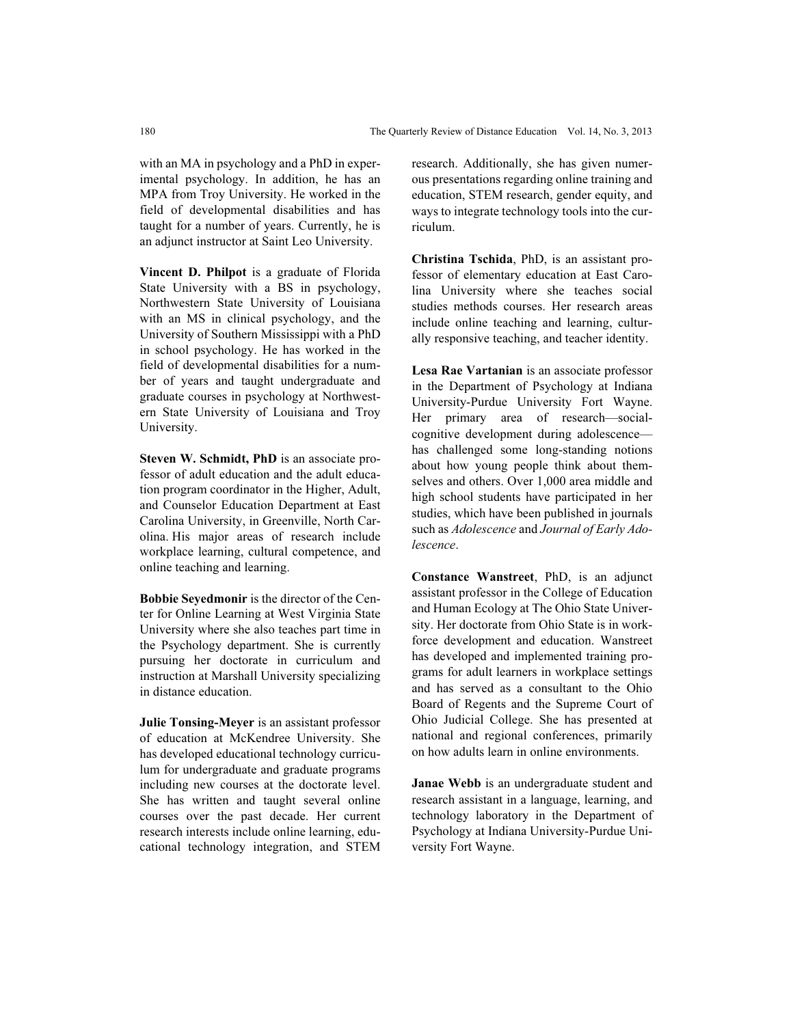with an MA in psychology and a PhD in experimental psychology. In addition, he has an MPA from Troy University. He worked in the field of developmental disabilities and has taught for a number of years. Currently, he is an adjunct instructor at Saint Leo University.

Vincent D. Philpot is a graduate of Florida State University with a BS in psychology, Northwestern State University of Louisiana with an MS in clinical psychology, and the University of Southern Mississippi with a PhD in school psychology. He has worked in the field of developmental disabilities for a number of years and taught undergraduate and graduate courses in psychology at Northwestern State University of Louisiana and Troy University.

Steven W. Schmidt, PhD is an associate professor of adult education and the adult education program coordinator in the Higher, Adult, and Counselor Education Department at East Carolina University, in Greenville, North Carolina. His major areas of research include workplace learning, cultural competence, and online teaching and learning.

Bobbie Seyedmonir is the director of the Center for Online Learning at West Virginia State University where she also teaches part time in the Psychology department. She is currently pursuing her doctorate in curriculum and instruction at Marshall University specializing in distance education.

Julie Tonsing-Meyer is an assistant professor of education at McKendree University. She has developed educational technology curriculum for undergraduate and graduate programs including new courses at the doctorate level. She has written and taught several online courses over the past decade. Her current research interests include online learning, educational technology integration, and STEM research. Additionally, she has given numerous presentations regarding online training and education, STEM research, gender equity, and ways to integrate technology tools into the curriculum.

Christina Tschida, PhD, is an assistant professor of elementary education at East Carolina University where she teaches social studies methods courses. Her research areas include online teaching and learning, culturally responsive teaching, and teacher identity.

Lesa Rae Vartanian is an associate professor in the Department of Psychology at Indiana University-Purdue University Fort Wayne. Her primary area of research—socialcognitive development during adolescence has challenged some long-standing notions about how young people think about themselves and others. Over 1,000 area middle and high school students have participated in her studies, which have been published in journals such as Adolescence and Journal of Early Adolescence.

Constance Wanstreet, PhD, is an adjunct assistant professor in the College of Education and Human Ecology at The Ohio State University. Her doctorate from Ohio State is in workforce development and education. Wanstreet has developed and implemented training programs for adult learners in workplace settings and has served as a consultant to the Ohio Board of Regents and the Supreme Court of Ohio Judicial College. She has presented at national and regional conferences, primarily on how adults learn in online environments.

Janae Webb is an undergraduate student and research assistant in a language, learning, and technology laboratory in the Department of Psychology at Indiana University-Purdue University Fort Wayne.